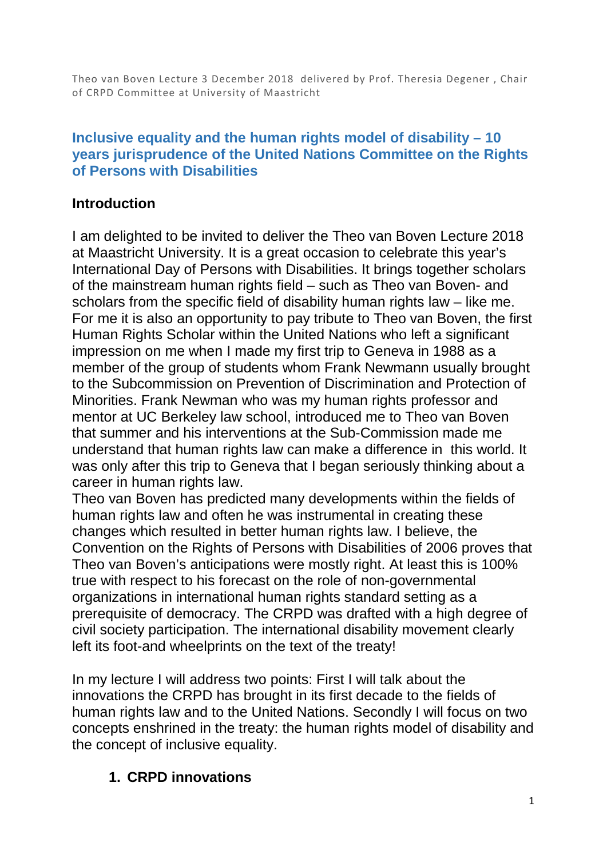Theo van Boven Lecture 3 December 2018 delivered by Prof. Theresia Degener , Chair of CRPD Committee at University of Maastricht

### **Inclusive equality and the human rights model of disability – 10 years jurisprudence of the United Nations Committee on the Rights of Persons with Disabilities**

### **Introduction**

I am delighted to be invited to deliver the Theo van Boven Lecture 2018 at Maastricht University. It is a great occasion to celebrate this year's International Day of Persons with Disabilities. It brings together scholars of the mainstream human rights field – such as Theo van Boven- and scholars from the specific field of disability human rights law – like me. For me it is also an opportunity to pay tribute to Theo van Boven, the first Human Rights Scholar within the United Nations who left a significant impression on me when I made my first trip to Geneva in 1988 as a member of the group of students whom Frank Newmann usually brought to the Subcommission on Prevention of Discrimination and Protection of Minorities. Frank Newman who was my human rights professor and mentor at UC Berkeley law school, introduced me to Theo van Boven that summer and his interventions at the Sub-Commission made me understand that human rights law can make a difference in this world. It was only after this trip to Geneva that I began seriously thinking about a career in human rights law.

Theo van Boven has predicted many developments within the fields of human rights law and often he was instrumental in creating these changes which resulted in better human rights law. I believe, the Convention on the Rights of Persons with Disabilities of 2006 proves that Theo van Boven's anticipations were mostly right. At least this is 100% true with respect to his forecast on the role of non-governmental organizations in international human rights standard setting as a prerequisite of democracy. The CRPD was drafted with a high degree of civil society participation. The international disability movement clearly left its foot-and wheelprints on the text of the treaty!

In my lecture I will address two points: First I will talk about the innovations the CRPD has brought in its first decade to the fields of human rights law and to the United Nations. Secondly I will focus on two concepts enshrined in the treaty: the human rights model of disability and the concept of inclusive equality.

# **1. CRPD innovations**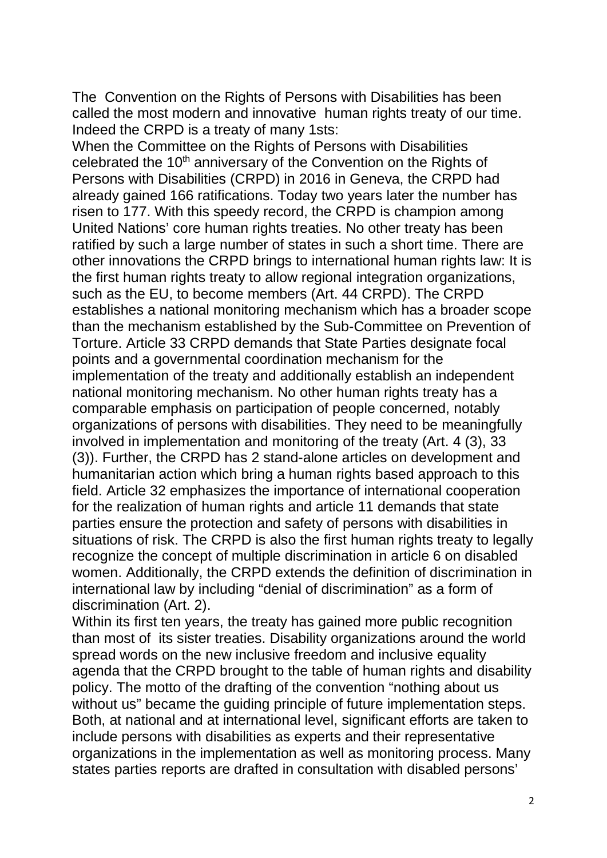The Convention on the Rights of Persons with Disabilities has been called the most modern and innovative human rights treaty of our time. Indeed the CRPD is a treaty of many 1sts:

When the Committee on the Rights of Persons with Disabilities celebrated the 10<sup>th</sup> anniversary of the Convention on the Rights of Persons with Disabilities (CRPD) in 2016 in Geneva, the CRPD had already gained 166 ratifications. Today two years later the number has risen to 177. With this speedy record, the CRPD is champion among United Nations' core human rights treaties. No other treaty has been ratified by such a large number of states in such a short time. There are other innovations the CRPD brings to international human rights law: It is the first human rights treaty to allow regional integration organizations, such as the EU, to become members (Art. 44 CRPD). The CRPD establishes a national monitoring mechanism which has a broader scope than the mechanism established by the Sub-Committee on Prevention of Torture. Article 33 CRPD demands that State Parties designate focal points and a governmental coordination mechanism for the implementation of the treaty and additionally establish an independent national monitoring mechanism. No other human rights treaty has a comparable emphasis on participation of people concerned, notably organizations of persons with disabilities. They need to be meaningfully involved in implementation and monitoring of the treaty (Art. 4 (3), 33 (3)). Further, the CRPD has 2 stand-alone articles on development and humanitarian action which bring a human rights based approach to this field. Article 32 emphasizes the importance of international cooperation for the realization of human rights and article 11 demands that state parties ensure the protection and safety of persons with disabilities in situations of risk. The CRPD is also the first human rights treaty to legally recognize the concept of multiple discrimination in article 6 on disabled women. Additionally, the CRPD extends the definition of discrimination in international law by including "denial of discrimination" as a form of discrimination (Art. 2).

Within its first ten years, the treaty has gained more public recognition than most of its sister treaties. Disability organizations around the world spread words on the new inclusive freedom and inclusive equality agenda that the CRPD brought to the table of human rights and disability policy. The motto of the drafting of the convention "nothing about us without us" became the guiding principle of future implementation steps. Both, at national and at international level, significant efforts are taken to include persons with disabilities as experts and their representative organizations in the implementation as well as monitoring process. Many states parties reports are drafted in consultation with disabled persons'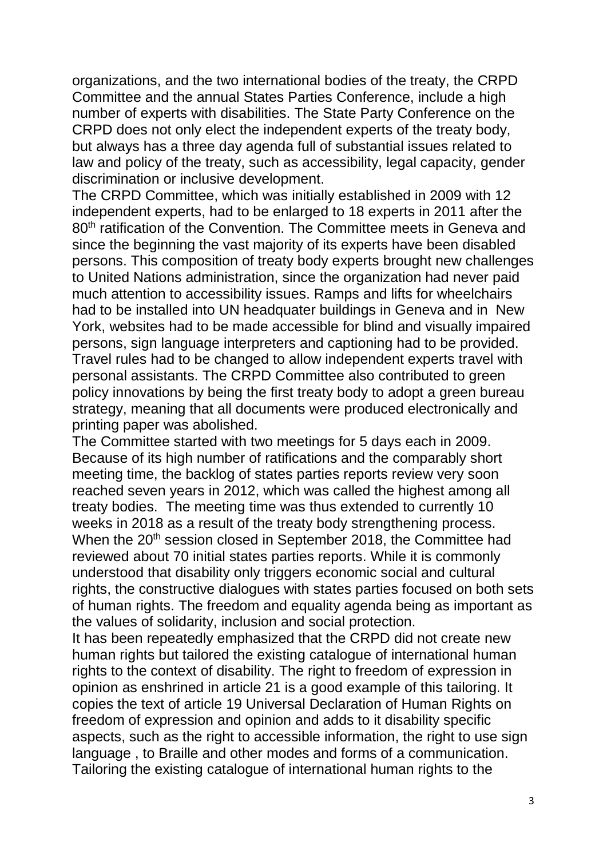organizations, and the two international bodies of the treaty, the CRPD Committee and the annual States Parties Conference, include a high number of experts with disabilities. The State Party Conference on the CRPD does not only elect the independent experts of the treaty body, but always has a three day agenda full of substantial issues related to law and policy of the treaty, such as accessibility, legal capacity, gender discrimination or inclusive development.

The CRPD Committee, which was initially established in 2009 with 12 independent experts, had to be enlarged to 18 experts in 2011 after the 80<sup>th</sup> ratification of the Convention. The Committee meets in Geneva and since the beginning the vast majority of its experts have been disabled persons. This composition of treaty body experts brought new challenges to United Nations administration, since the organization had never paid much attention to accessibility issues. Ramps and lifts for wheelchairs had to be installed into UN headquater buildings in Geneva and in New York, websites had to be made accessible for blind and visually impaired persons, sign language interpreters and captioning had to be provided. Travel rules had to be changed to allow independent experts travel with personal assistants. The CRPD Committee also contributed to green policy innovations by being the first treaty body to adopt a green bureau strategy, meaning that all documents were produced electronically and printing paper was abolished.

The Committee started with two meetings for 5 days each in 2009. Because of its high number of ratifications and the comparably short meeting time, the backlog of states parties reports review very soon reached seven years in 2012, which was called the highest among all treaty bodies. The meeting time was thus extended to currently 10 weeks in 2018 as a result of the treaty body strengthening process. When the 20<sup>th</sup> session closed in September 2018, the Committee had reviewed about 70 initial states parties reports. While it is commonly understood that disability only triggers economic social and cultural rights, the constructive dialogues with states parties focused on both sets of human rights. The freedom and equality agenda being as important as the values of solidarity, inclusion and social protection.

It has been repeatedly emphasized that the CRPD did not create new human rights but tailored the existing catalogue of international human rights to the context of disability. The right to freedom of expression in opinion as enshrined in article 21 is a good example of this tailoring. It copies the text of article 19 Universal Declaration of Human Rights on freedom of expression and opinion and adds to it disability specific aspects, such as the right to accessible information, the right to use sign language , to Braille and other modes and forms of a communication. Tailoring the existing catalogue of international human rights to the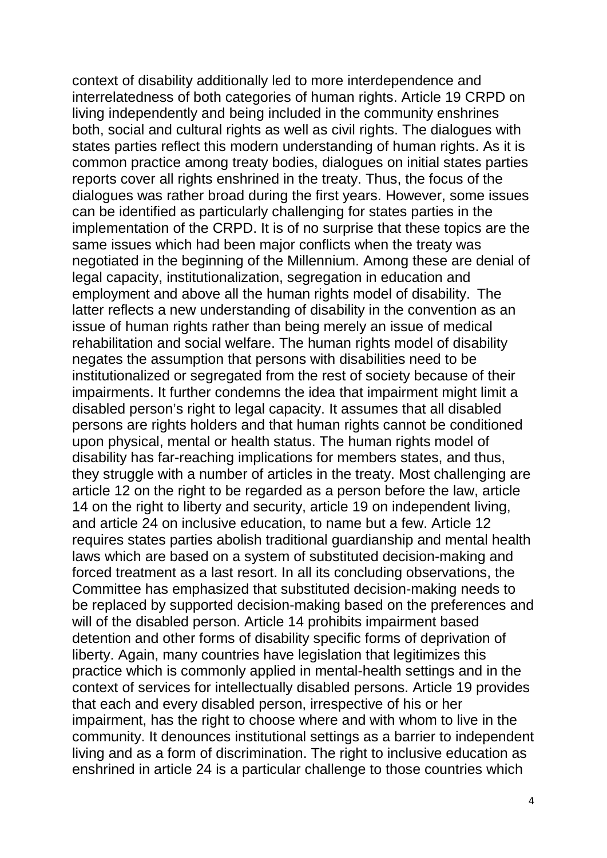context of disability additionally led to more interdependence and interrelatedness of both categories of human rights. Article 19 CRPD on living independently and being included in the community enshrines both, social and cultural rights as well as civil rights. The dialogues with states parties reflect this modern understanding of human rights. As it is common practice among treaty bodies, dialogues on initial states parties reports cover all rights enshrined in the treaty. Thus, the focus of the dialogues was rather broad during the first years. However, some issues can be identified as particularly challenging for states parties in the implementation of the CRPD. It is of no surprise that these topics are the same issues which had been major conflicts when the treaty was negotiated in the beginning of the Millennium. Among these are denial of legal capacity, institutionalization, segregation in education and employment and above all the human rights model of disability. The latter reflects a new understanding of disability in the convention as an issue of human rights rather than being merely an issue of medical rehabilitation and social welfare. The human rights model of disability negates the assumption that persons with disabilities need to be institutionalized or segregated from the rest of society because of their impairments. It further condemns the idea that impairment might limit a disabled person's right to legal capacity. It assumes that all disabled persons are rights holders and that human rights cannot be conditioned upon physical, mental or health status. The human rights model of disability has far-reaching implications for members states, and thus, they struggle with a number of articles in the treaty. Most challenging are article 12 on the right to be regarded as a person before the law, article 14 on the right to liberty and security, article 19 on independent living, and article 24 on inclusive education, to name but a few. Article 12 requires states parties abolish traditional guardianship and mental health laws which are based on a system of substituted decision-making and forced treatment as a last resort. In all its concluding observations, the Committee has emphasized that substituted decision-making needs to be replaced by supported decision-making based on the preferences and will of the disabled person. Article 14 prohibits impairment based detention and other forms of disability specific forms of deprivation of liberty. Again, many countries have legislation that legitimizes this practice which is commonly applied in mental-health settings and in the context of services for intellectually disabled persons. Article 19 provides that each and every disabled person, irrespective of his or her impairment, has the right to choose where and with whom to live in the community. It denounces institutional settings as a barrier to independent living and as a form of discrimination. The right to inclusive education as enshrined in article 24 is a particular challenge to those countries which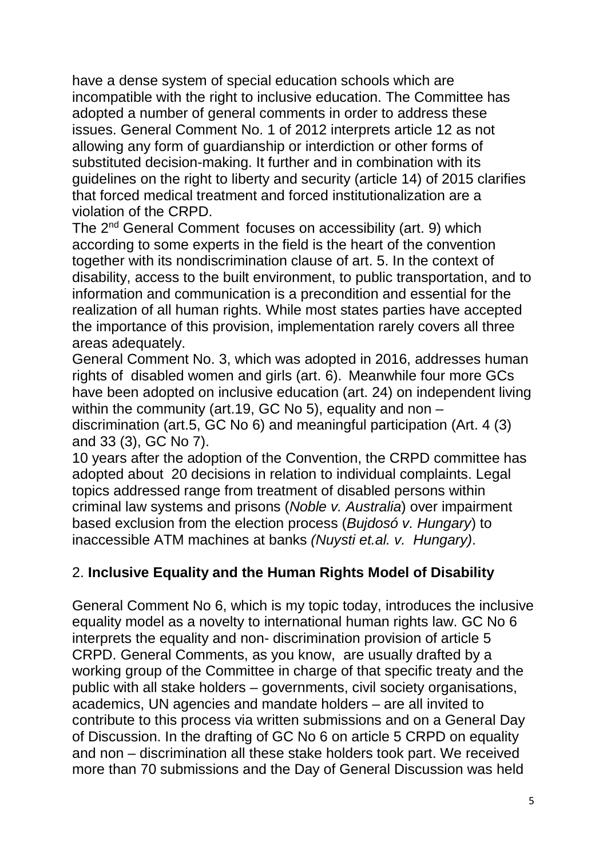have a dense system of special education schools which are incompatible with the right to inclusive education. The Committee has adopted a number of general comments in order to address these issues. General Comment No. 1 of 2012 interprets article 12 as not allowing any form of guardianship or interdiction or other forms of substituted decision-making. It further and in combination with its guidelines on the right to liberty and security (article 14) of 2015 clarifies that forced medical treatment and forced institutionalization are a violation of the CRPD.

The 2nd General Comment focuses on accessibility (art. 9) which according to some experts in the field is the heart of the convention together with its nondiscrimination clause of art. 5. In the context of disability, access to the built environment, to public transportation, and to information and communication is a precondition and essential for the realization of all human rights. While most states parties have accepted the importance of this provision, implementation rarely covers all three areas adequately.

General Comment No. 3, which was adopted in 2016, addresses human rights of disabled women and girls (art. 6). Meanwhile four more GCs have been adopted on inclusive education (art. 24) on independent living within the community (art.19, GC No 5), equality and non – discrimination (art.5, GC No 6) and meaningful participation (Art. 4 (3) and 33 (3), GC No 7).

10 years after the adoption of the Convention, the CRPD committee has adopted about 20 decisions in relation to individual complaints. Legal topics addressed range from treatment of disabled persons within criminal law systems and prisons (*Noble v. Australia*) over impairment based exclusion from the election process (*Bujdosó v. Hungary*) to inaccessible ATM machines at banks *(Nuysti et.al. v. Hungary)*.

# 2. **Inclusive Equality and the Human Rights Model of Disability**

General Comment No 6, which is my topic today, introduces the inclusive equality model as a novelty to international human rights law. GC No 6 interprets the equality and non- discrimination provision of article 5 CRPD. General Comments, as you know, are usually drafted by a working group of the Committee in charge of that specific treaty and the public with all stake holders – governments, civil society organisations, academics, UN agencies and mandate holders – are all invited to contribute to this process via written submissions and on a General Day of Discussion. In the drafting of GC No 6 on article 5 CRPD on equality and non – discrimination all these stake holders took part. We received more than 70 submissions and the Day of General Discussion was held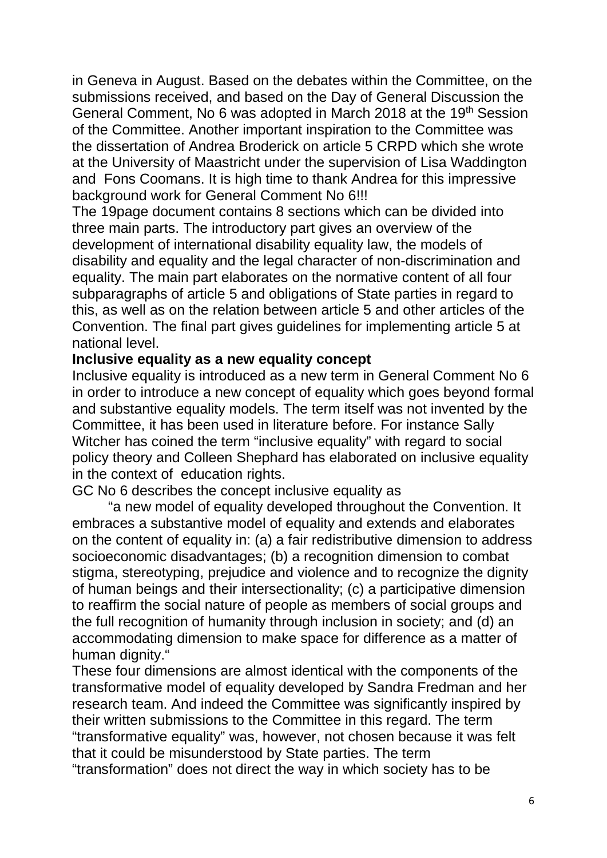in Geneva in August. Based on the debates within the Committee, on the submissions received, and based on the Day of General Discussion the General Comment, No 6 was adopted in March 2018 at the 19<sup>th</sup> Session of the Committee. Another important inspiration to the Committee was the dissertation of Andrea Broderick on article 5 CRPD which she wrote at the University of Maastricht under the supervision of Lisa Waddington and Fons Coomans. It is high time to thank Andrea for this impressive background work for General Comment No 6!!!

The 19page document contains 8 sections which can be divided into three main parts. The introductory part gives an overview of the development of international disability equality law, the models of disability and equality and the legal character of non-discrimination and equality. The main part elaborates on the normative content of all four subparagraphs of article 5 and obligations of State parties in regard to this, as well as on the relation between article 5 and other articles of the Convention. The final part gives guidelines for implementing article 5 at national level.

#### **Inclusive equality as a new equality concept**

Inclusive equality is introduced as a new term in General Comment No 6 in order to introduce a new concept of equality which goes beyond formal and substantive equality models. The term itself was not invented by the Committee, it has been used in literature before. For instance Sally Witcher has coined the term "inclusive equality" with regard to social policy theory and Colleen Shephard has elaborated on inclusive equality in the context of education rights.

GC No 6 describes the concept inclusive equality as

"a new model of equality developed throughout the Convention. It embraces a substantive model of equality and extends and elaborates on the content of equality in: (a) a fair redistributive dimension to address socioeconomic disadvantages; (b) a recognition dimension to combat stigma, stereotyping, prejudice and violence and to recognize the dignity of human beings and their intersectionality; (c) a participative dimension to reaffirm the social nature of people as members of social groups and the full recognition of humanity through inclusion in society; and (d) an accommodating dimension to make space for difference as a matter of human dignity."

These four dimensions are almost identical with the components of the transformative model of equality developed by Sandra Fredman and her research team. And indeed the Committee was significantly inspired by their written submissions to the Committee in this regard. The term "transformative equality" was, however, not chosen because it was felt that it could be misunderstood by State parties. The term "transformation" does not direct the way in which society has to be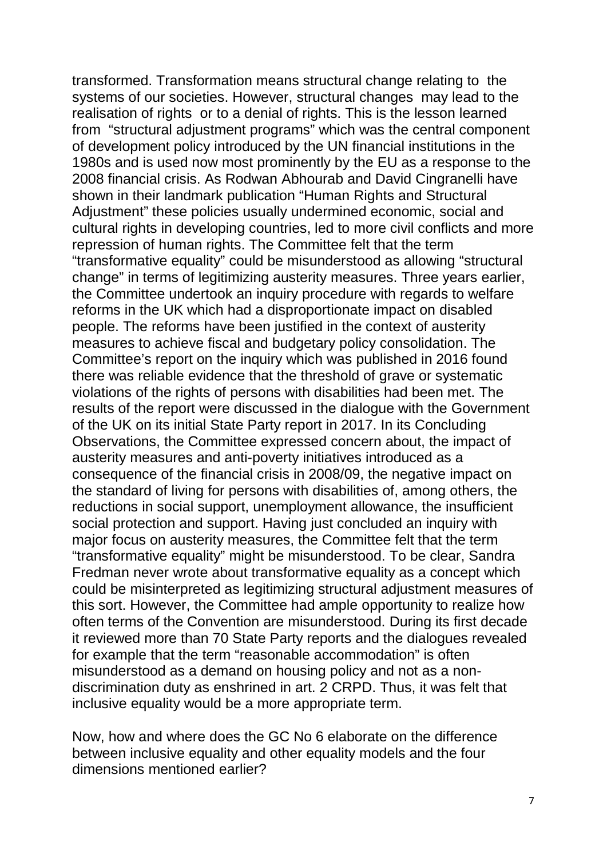transformed. Transformation means structural change relating to the systems of our societies. However, structural changes may lead to the realisation of rights or to a denial of rights. This is the lesson learned from "structural adjustment programs" which was the central component of development policy introduced by the UN financial institutions in the 1980s and is used now most prominently by the EU as a response to the 2008 financial crisis. As Rodwan Abhourab and David Cingranelli have shown in their landmark publication "Human Rights and Structural Adjustment" these policies usually undermined economic, social and cultural rights in developing countries, led to more civil conflicts and more repression of human rights. The Committee felt that the term "transformative equality" could be misunderstood as allowing "structural change" in terms of legitimizing austerity measures. Three years earlier, the Committee undertook an inquiry procedure with regards to welfare reforms in the UK which had a disproportionate impact on disabled people. The reforms have been justified in the context of austerity measures to achieve fiscal and budgetary policy consolidation. The Committee's report on the inquiry which was published in 2016 found there was reliable evidence that the threshold of grave or systematic violations of the rights of persons with disabilities had been met. The results of the report were discussed in the dialogue with the Government of the UK on its initial State Party report in 2017. In its Concluding Observations, the Committee expressed concern about, the impact of austerity measures and anti-poverty initiatives introduced as a consequence of the financial crisis in 2008/09, the negative impact on the standard of living for persons with disabilities of, among others, the reductions in social support, unemployment allowance, the insufficient social protection and support. Having just concluded an inquiry with major focus on austerity measures, the Committee felt that the term "transformative equality" might be misunderstood. To be clear, Sandra Fredman never wrote about transformative equality as a concept which could be misinterpreted as legitimizing structural adjustment measures of this sort. However, the Committee had ample opportunity to realize how often terms of the Convention are misunderstood. During its first decade it reviewed more than 70 State Party reports and the dialogues revealed for example that the term "reasonable accommodation" is often misunderstood as a demand on housing policy and not as a nondiscrimination duty as enshrined in art. 2 CRPD. Thus, it was felt that inclusive equality would be a more appropriate term.

Now, how and where does the GC No 6 elaborate on the difference between inclusive equality and other equality models and the four dimensions mentioned earlier?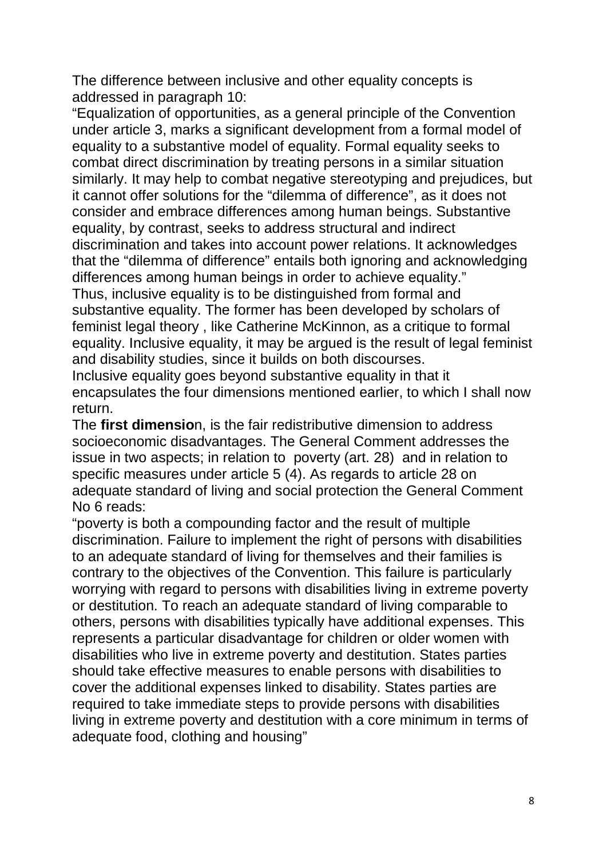The difference between inclusive and other equality concepts is addressed in paragraph 10:

"Equalization of opportunities, as a general principle of the Convention under article 3, marks a significant development from a formal model of equality to a substantive model of equality. Formal equality seeks to combat direct discrimination by treating persons in a similar situation similarly. It may help to combat negative stereotyping and prejudices, but it cannot offer solutions for the "dilemma of difference", as it does not consider and embrace differences among human beings. Substantive equality, by contrast, seeks to address structural and indirect discrimination and takes into account power relations. It acknowledges that the "dilemma of difference" entails both ignoring and acknowledging differences among human beings in order to achieve equality."

Thus, inclusive equality is to be distinguished from formal and substantive equality. The former has been developed by scholars of feminist legal theory , like Catherine McKinnon, as a critique to formal equality. Inclusive equality, it may be argued is the result of legal feminist and disability studies, since it builds on both discourses.

Inclusive equality goes beyond substantive equality in that it encapsulates the four dimensions mentioned earlier, to which I shall now return.

The **first dimensio**n, is the fair redistributive dimension to address socioeconomic disadvantages. The General Comment addresses the issue in two aspects; in relation to poverty (art. 28) and in relation to specific measures under article 5 (4). As regards to article 28 on adequate standard of living and social protection the General Comment No 6 reads:

"poverty is both a compounding factor and the result of multiple discrimination. Failure to implement the right of persons with disabilities to an adequate standard of living for themselves and their families is contrary to the objectives of the Convention. This failure is particularly worrying with regard to persons with disabilities living in extreme poverty or destitution. To reach an adequate standard of living comparable to others, persons with disabilities typically have additional expenses. This represents a particular disadvantage for children or older women with disabilities who live in extreme poverty and destitution. States parties should take effective measures to enable persons with disabilities to cover the additional expenses linked to disability. States parties are required to take immediate steps to provide persons with disabilities living in extreme poverty and destitution with a core minimum in terms of adequate food, clothing and housing"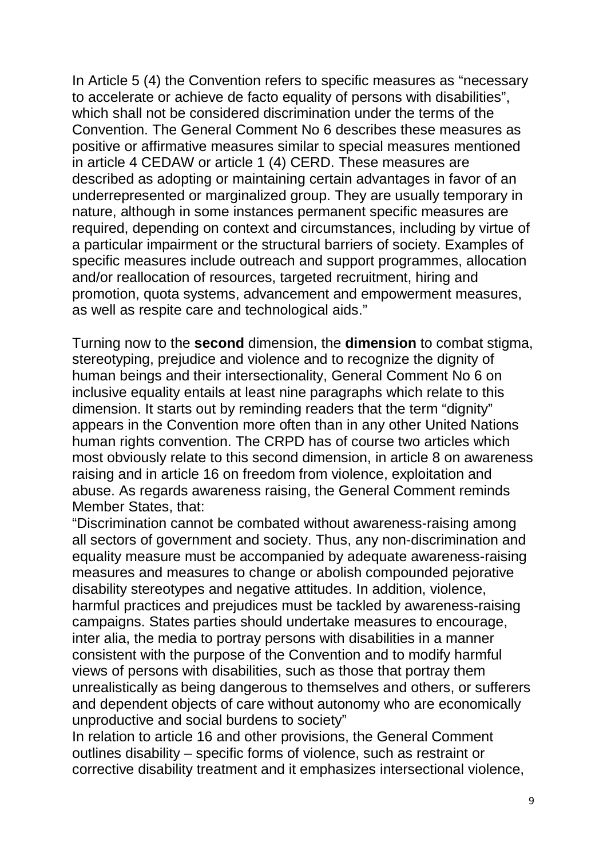In Article 5 (4) the Convention refers to specific measures as "necessary to accelerate or achieve de facto equality of persons with disabilities", which shall not be considered discrimination under the terms of the Convention. The General Comment No 6 describes these measures as positive or affirmative measures similar to special measures mentioned in article 4 CEDAW or article 1 (4) CERD. These measures are described as adopting or maintaining certain advantages in favor of an underrepresented or marginalized group. They are usually temporary in nature, although in some instances permanent specific measures are required, depending on context and circumstances, including by virtue of a particular impairment or the structural barriers of society. Examples of specific measures include outreach and support programmes, allocation and/or reallocation of resources, targeted recruitment, hiring and promotion, quota systems, advancement and empowerment measures, as well as respite care and technological aids."

Turning now to the **second** dimension, the **dimension** to combat stigma, stereotyping, prejudice and violence and to recognize the dignity of human beings and their intersectionality, General Comment No 6 on inclusive equality entails at least nine paragraphs which relate to this dimension. It starts out by reminding readers that the term "dignity" appears in the Convention more often than in any other United Nations human rights convention. The CRPD has of course two articles which most obviously relate to this second dimension, in article 8 on awareness raising and in article 16 on freedom from violence, exploitation and abuse. As regards awareness raising, the General Comment reminds Member States, that:

"Discrimination cannot be combated without awareness-raising among all sectors of government and society. Thus, any non-discrimination and equality measure must be accompanied by adequate awareness-raising measures and measures to change or abolish compounded pejorative disability stereotypes and negative attitudes. In addition, violence, harmful practices and prejudices must be tackled by awareness-raising campaigns. States parties should undertake measures to encourage, inter alia, the media to portray persons with disabilities in a manner consistent with the purpose of the Convention and to modify harmful views of persons with disabilities, such as those that portray them unrealistically as being dangerous to themselves and others, or sufferers and dependent objects of care without autonomy who are economically unproductive and social burdens to society"

In relation to article 16 and other provisions, the General Comment outlines disability – specific forms of violence, such as restraint or corrective disability treatment and it emphasizes intersectional violence,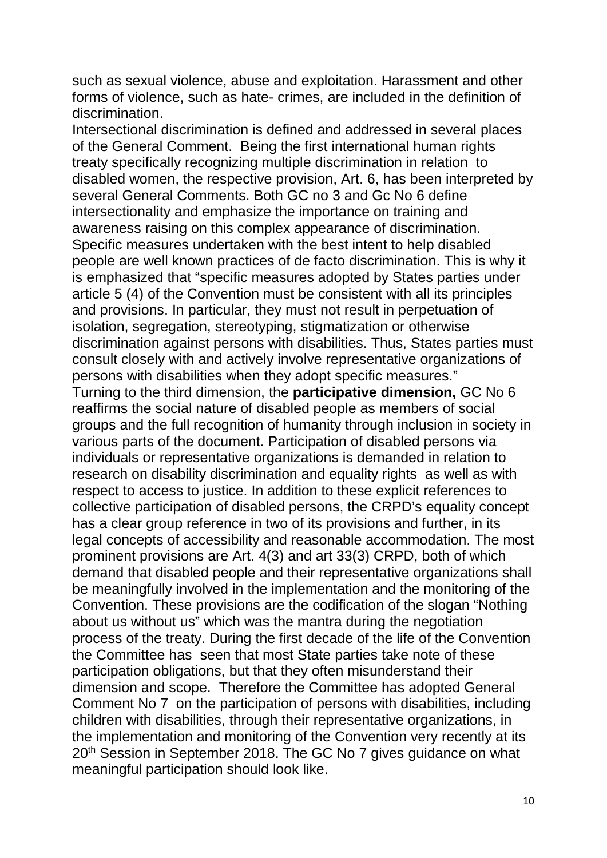such as sexual violence, abuse and exploitation. Harassment and other forms of violence, such as hate- crimes, are included in the definition of discrimination.

Intersectional discrimination is defined and addressed in several places of the General Comment. Being the first international human rights treaty specifically recognizing multiple discrimination in relation to disabled women, the respective provision, Art. 6, has been interpreted by several General Comments. Both GC no 3 and Gc No 6 define intersectionality and emphasize the importance on training and awareness raising on this complex appearance of discrimination. Specific measures undertaken with the best intent to help disabled people are well known practices of de facto discrimination. This is why it is emphasized that "specific measures adopted by States parties under article 5 (4) of the Convention must be consistent with all its principles and provisions. In particular, they must not result in perpetuation of isolation, segregation, stereotyping, stigmatization or otherwise discrimination against persons with disabilities. Thus, States parties must consult closely with and actively involve representative organizations of persons with disabilities when they adopt specific measures." Turning to the third dimension, the **participative dimension,** GC No 6 reaffirms the social nature of disabled people as members of social groups and the full recognition of humanity through inclusion in society in various parts of the document. Participation of disabled persons via individuals or representative organizations is demanded in relation to research on disability discrimination and equality rights as well as with respect to access to justice. In addition to these explicit references to collective participation of disabled persons, the CRPD's equality concept has a clear group reference in two of its provisions and further, in its legal concepts of accessibility and reasonable accommodation. The most prominent provisions are Art. 4(3) and art 33(3) CRPD, both of which demand that disabled people and their representative organizations shall be meaningfully involved in the implementation and the monitoring of the Convention. These provisions are the codification of the slogan "Nothing about us without us" which was the mantra during the negotiation process of the treaty. During the first decade of the life of the Convention the Committee has seen that most State parties take note of these participation obligations, but that they often misunderstand their dimension and scope. Therefore the Committee has adopted General Comment No 7 on the participation of persons with disabilities, including children with disabilities, through their representative organizations, in the implementation and monitoring of the Convention very recently at its 20<sup>th</sup> Session in September 2018. The GC No 7 gives guidance on what meaningful participation should look like.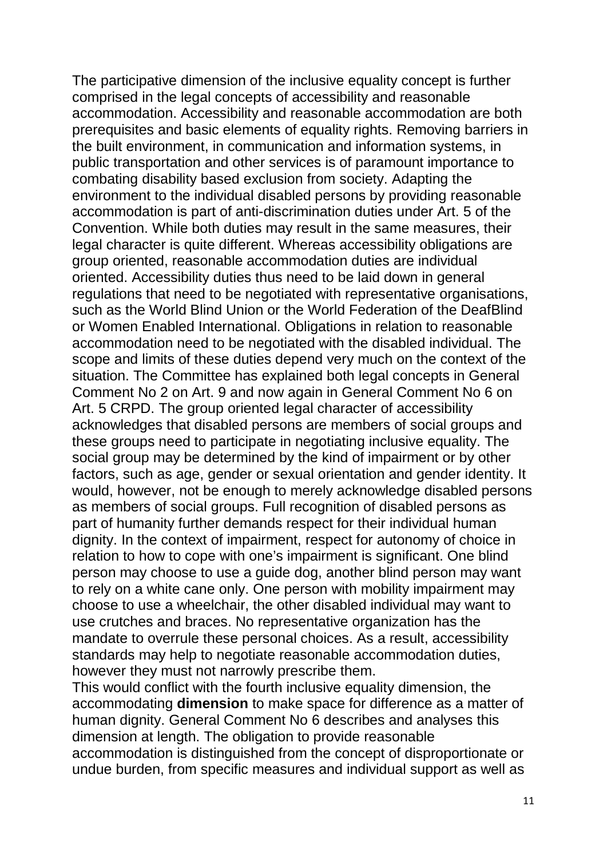The participative dimension of the inclusive equality concept is further comprised in the legal concepts of accessibility and reasonable accommodation. Accessibility and reasonable accommodation are both prerequisites and basic elements of equality rights. Removing barriers in the built environment, in communication and information systems, in public transportation and other services is of paramount importance to combating disability based exclusion from society. Adapting the environment to the individual disabled persons by providing reasonable accommodation is part of anti-discrimination duties under Art. 5 of the Convention. While both duties may result in the same measures, their legal character is quite different. Whereas accessibility obligations are group oriented, reasonable accommodation duties are individual oriented. Accessibility duties thus need to be laid down in general regulations that need to be negotiated with representative organisations, such as the World Blind Union or the World Federation of the DeafBlind or Women Enabled International. Obligations in relation to reasonable accommodation need to be negotiated with the disabled individual. The scope and limits of these duties depend very much on the context of the situation. The Committee has explained both legal concepts in General Comment No 2 on Art. 9 and now again in General Comment No 6 on Art. 5 CRPD. The group oriented legal character of accessibility acknowledges that disabled persons are members of social groups and these groups need to participate in negotiating inclusive equality. The social group may be determined by the kind of impairment or by other factors, such as age, gender or sexual orientation and gender identity. It would, however, not be enough to merely acknowledge disabled persons as members of social groups. Full recognition of disabled persons as part of humanity further demands respect for their individual human dignity. In the context of impairment, respect for autonomy of choice in relation to how to cope with one's impairment is significant. One blind person may choose to use a guide dog, another blind person may want to rely on a white cane only. One person with mobility impairment may choose to use a wheelchair, the other disabled individual may want to use crutches and braces. No representative organization has the mandate to overrule these personal choices. As a result, accessibility standards may help to negotiate reasonable accommodation duties, however they must not narrowly prescribe them.

This would conflict with the fourth inclusive equality dimension, the accommodating **dimension** to make space for difference as a matter of human dignity. General Comment No 6 describes and analyses this dimension at length. The obligation to provide reasonable accommodation is distinguished from the concept of disproportionate or undue burden, from specific measures and individual support as well as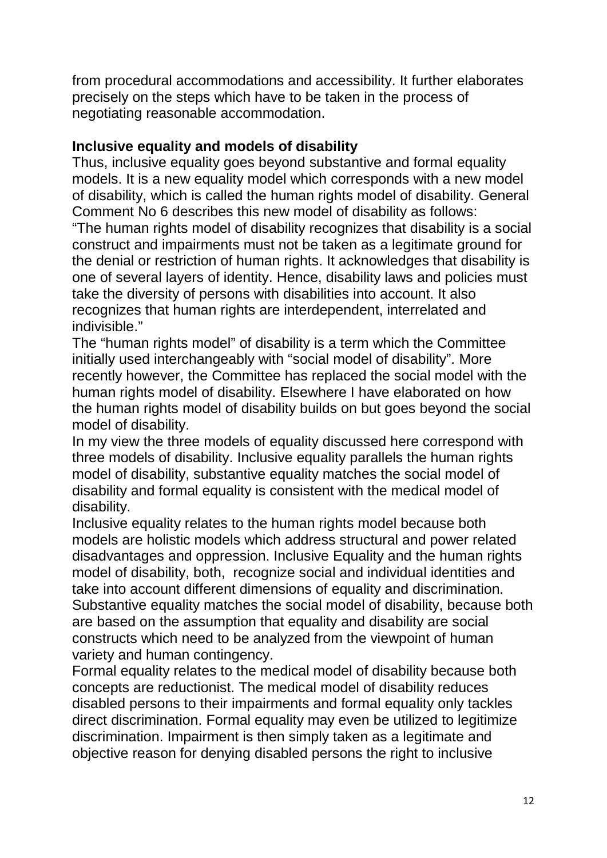from procedural accommodations and accessibility. It further elaborates precisely on the steps which have to be taken in the process of negotiating reasonable accommodation.

### **Inclusive equality and models of disability**

Thus, inclusive equality goes beyond substantive and formal equality models. It is a new equality model which corresponds with a new model of disability, which is called the human rights model of disability. General Comment No 6 describes this new model of disability as follows: "The human rights model of disability recognizes that disability is a social construct and impairments must not be taken as a legitimate ground for the denial or restriction of human rights. It acknowledges that disability is one of several layers of identity. Hence, disability laws and policies must take the diversity of persons with disabilities into account. It also recognizes that human rights are interdependent, interrelated and indivisible."

The "human rights model" of disability is a term which the Committee initially used interchangeably with "social model of disability". More recently however, the Committee has replaced the social model with the human rights model of disability. Elsewhere I have elaborated on how the human rights model of disability builds on but goes beyond the social model of disability.

In my view the three models of equality discussed here correspond with three models of disability. Inclusive equality parallels the human rights model of disability, substantive equality matches the social model of disability and formal equality is consistent with the medical model of disability.

Inclusive equality relates to the human rights model because both models are holistic models which address structural and power related disadvantages and oppression. Inclusive Equality and the human rights model of disability, both, recognize social and individual identities and take into account different dimensions of equality and discrimination. Substantive equality matches the social model of disability, because both are based on the assumption that equality and disability are social constructs which need to be analyzed from the viewpoint of human variety and human contingency.

Formal equality relates to the medical model of disability because both concepts are reductionist. The medical model of disability reduces disabled persons to their impairments and formal equality only tackles direct discrimination. Formal equality may even be utilized to legitimize discrimination. Impairment is then simply taken as a legitimate and objective reason for denying disabled persons the right to inclusive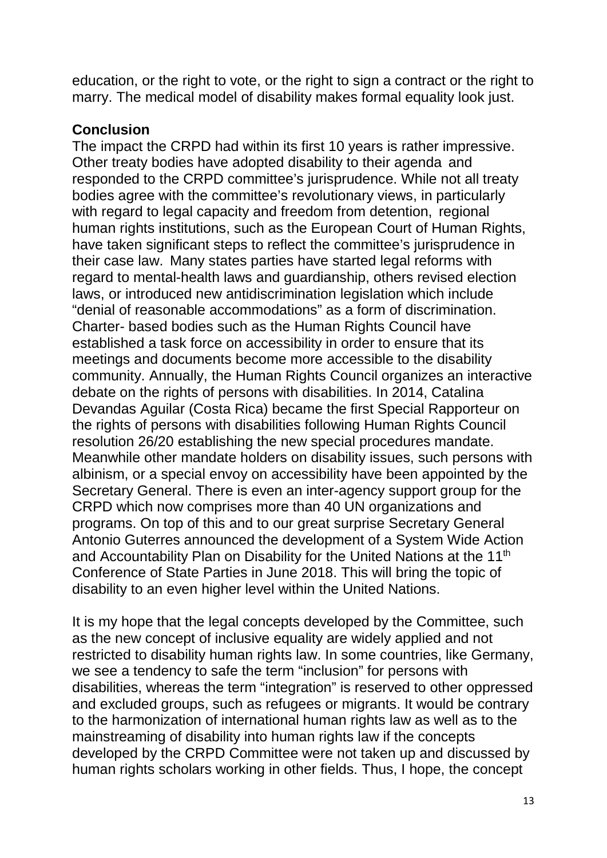education, or the right to vote, or the right to sign a contract or the right to marry. The medical model of disability makes formal equality look just.

### **Conclusion**

The impact the CRPD had within its first 10 years is rather impressive. Other treaty bodies have adopted disability to their agenda and responded to the CRPD committee's jurisprudence. While not all treaty bodies agree with the committee's revolutionary views, in particularly with regard to legal capacity and freedom from detention, regional human rights institutions, such as the European Court of Human Rights, have taken significant steps to reflect the committee's jurisprudence in their case law. Many states parties have started legal reforms with regard to mental-health laws and guardianship, others revised election laws, or introduced new antidiscrimination legislation which include "denial of reasonable accommodations" as a form of discrimination. Charter- based bodies such as the Human Rights Council have established a task force on accessibility in order to ensure that its meetings and documents become more accessible to the disability community. Annually, the Human Rights Council organizes an interactive debate on the rights of persons with disabilities. In 2014, Catalina Devandas Aguilar (Costa Rica) became the first Special Rapporteur on the rights of persons with disabilities following Human Rights Council resolution 26/20 establishing the new special procedures mandate. Meanwhile other mandate holders on disability issues, such persons with albinism, or a special envoy on accessibility have been appointed by the Secretary General. There is even an inter-agency support group for the CRPD which now comprises more than 40 UN organizations and programs. On top of this and to our great surprise Secretary General Antonio Guterres announced the development of a System Wide Action and Accountability Plan on Disability for the United Nations at the 11<sup>th</sup> Conference of State Parties in June 2018. This will bring the topic of disability to an even higher level within the United Nations.

It is my hope that the legal concepts developed by the Committee, such as the new concept of inclusive equality are widely applied and not restricted to disability human rights law. In some countries, like Germany, we see a tendency to safe the term "inclusion" for persons with disabilities, whereas the term "integration" is reserved to other oppressed and excluded groups, such as refugees or migrants. It would be contrary to the harmonization of international human rights law as well as to the mainstreaming of disability into human rights law if the concepts developed by the CRPD Committee were not taken up and discussed by human rights scholars working in other fields. Thus, I hope, the concept